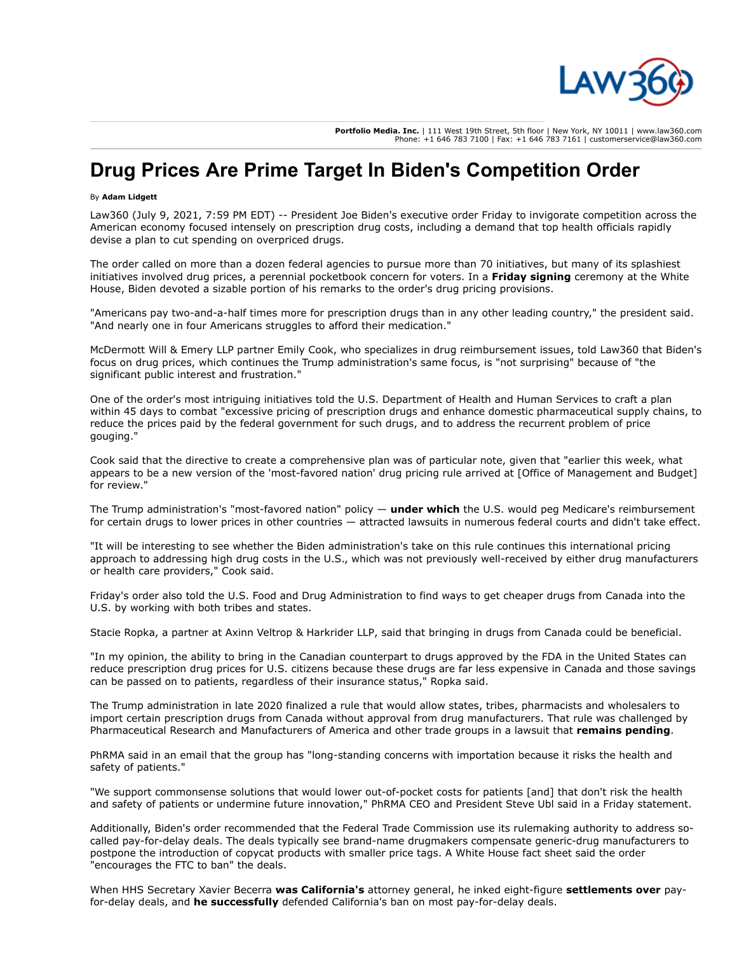

**Portfolio Media. Inc.** | 111 West 19th Street, 5th floor | New York, NY 10011 | www.law360.com Phone: +1 646 783 7100 | Fax: +1 646 783 7161 | customerservice@law360.com

## **Drug Prices Are Prime Target In Biden's Competition Order**

## By **Adam Lidgett**

Law360 (July 9, 2021, 7:59 PM EDT) -- President Joe Biden's executive order Friday to invigorate competition across the American economy focused intensely on prescription drug costs, including a demand that top health officials rapidly devise a plan to cut spending on overpriced drugs.

The order called on more than a dozen federal agencies to pursue more than 70 initiatives, but many of its splashiest initiatives involved drug prices, a perennial pocketbook concern for voters. In a **[Friday signing](https://www.law360.com/articles/1401687)** ceremony at the White House, Biden devoted a sizable portion of his remarks to the order's drug pricing provisions.

"Americans pay two-and-a-half times more for prescription drugs than in any other leading country," the president said. "And nearly one in four Americans struggles to afford their medication."

[McDermott Will & Emery LLP](https://www.law360.com/firms/mcdermott-will) partner Emily Cook, who specializes in drug reimbursement issues, told Law360 that Biden's focus on drug prices, which continues the Trump administration's same focus, is "not surprising" because of "the significant public interest and frustration."

One of the order's most intriguing initiatives told the [U.S. Department of Health and Human Services](https://www.law360.com/agencies/u-s-department-of-health-and-human-services) to craft a plan within 45 days to combat "excessive pricing of prescription drugs and enhance domestic pharmaceutical supply chains, to reduce the prices paid by the federal government for such drugs, and to address the recurrent problem of price gouging."

Cook said that the directive to create a comprehensive plan was of particular note, given that "earlier this week, what appears to be a new version of the 'most-favored nation' drug pricing rule arrived at [\[Office of Management and Budget](https://www.law360.com/agencies/executive-office-of-the-president)] for review."

The Trump administration's "most-favored nation" policy — **[under which](https://www.law360.com/articles/1338688)** the U.S. would peg Medicare's reimbursement for certain drugs to lower prices in other countries — attracted lawsuits in numerous federal courts and didn't take effect.

"It will be interesting to see whether the Biden administration's take on this rule continues this international pricing approach to addressing high drug costs in the U.S., which was not previously well-received by either drug manufacturers or health care providers," Cook said.

Friday's order also told the [U.S. Food and Drug Administration](https://www.law360.com/agencies/food-and-drug-administration) to find ways to get cheaper drugs from Canada into the U.S. by working with both tribes and states.

Stacie Ropka, a partner at [Axinn Veltrop & Harkrider LLP,](https://www.law360.com/firms/axinn) said that bringing in drugs from Canada could be beneficial.

"In my opinion, the ability to bring in the Canadian counterpart to drugs approved by the FDA in the United States can reduce prescription drug prices for U.S. citizens because these drugs are far less expensive in Canada and those savings can be passed on to patients, regardless of their insurance status," Ropka said.

The Trump administration in late 2020 finalized a rule that would allow states, tribes, pharmacists and wholesalers to import certain prescription drugs from Canada without approval from drug manufacturers. That rule was challenged by [Pharmaceutical Research and Manufacturers of America](https://www.law360.com/companies/pharmaceutical-research-and-manufacturers-of-america) and other trade groups in a lawsuit that **[remains pending](https://www.law360.com/articles/1331887)**.

PhRMA said in an email that the group has "long-standing concerns with importation because it risks the health and safety of patients."

"We support commonsense solutions that would lower out-of-pocket costs for patients [and] that don't risk the health and safety of patients or undermine future innovation," PhRMA CEO and President Steve Ubl said in a Friday statement.

Additionally, Biden's order recommended that the [Federal Trade Commission](https://www.law360.com/agencies/federal-trade-commission) use its rulemaking authority to address socalled pay-for-delay deals. The deals typically see brand-name drugmakers compensate generic-drug manufacturers to postpone the introduction of copycat products with smaller price tags. A White House fact sheet said the order "encourages the FTC to ban" the deals.

When HHS Secretary Xavier Becerra **[was California's](https://www.law360.com/articles/1357530/should-an-atty-lead-hhs-lawmakers-debate-pros-and-cons)** attorney general, he inked eight-figure **[settlements over](https://www.law360.com/articles/1183072/teva-endo-curb-pay-for-delay-pacts-in-70m-deal-with-calif-)** payfor-delay deals, and **[he successfully](https://www.law360.com/articles/1295353/9th-circ-kills-challenge-to-calif-pay-for-delay-law-)** defended California's ban on most pay-for-delay deals.